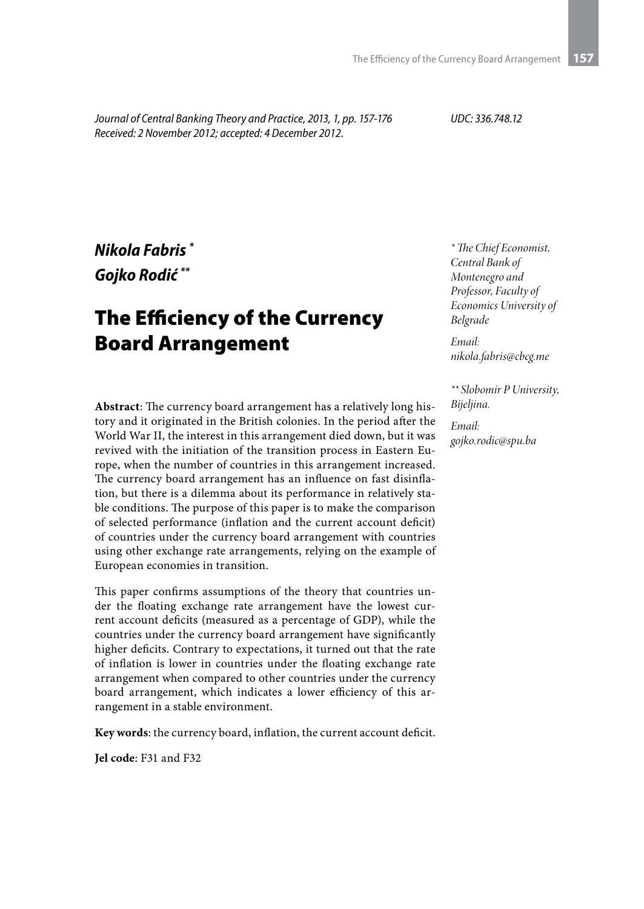*Journal of Central Banking Theory and Practice, 2013, 1, pp. 157-176 Received: 2 November 2012; accepted: 4 December 2012.*

*UDC: 336.748.12*

## *Nikola Fabris \* Gojko Rodić \*\**

# The Efficiency of the Currency Board Arrangement

**Abstract**: The currency board arrangement has a relatively long history and it originated in the British colonies. In the period after the World War II, the interest in this arrangement died down, but it was revived with the initiation of the transition process in Eastern Europe, when the number of countries in this arrangement increased. The currency board arrangement has an influence on fast disinflation, but there is a dilemma about its performance in relatively stable conditions. The purpose of this paper is to make the comparison of selected performance (inflation and the current account deficit) of countries under the currency board arrangement with countries using other exchange rate arrangements, relying on the example of European economies in transition.

This paper confirms assumptions of the theory that countries under the floating exchange rate arrangement have the lowest current account deficits (measured as a percentage of GDP), while the countries under the currency board arrangement have significantly higher deficits. Contrary to expectations, it turned out that the rate of inflation is lower in countries under the floating exchange rate arrangement when compared to other countries under the currency board arrangement, which indicates a lower efficiency of this arrangement in a stable environment.

**Key words**: the currency board, inflation, the current account deficit.

**Jel code**: F31 and F32

*\* The Chief Economist, Central Bank of Montenegro and Professor, Faculty of Economics University of Belgrade*

*Email: nikola.fabris@cbcg.me*

*\*\* Slobomir P University, Bijeljina.*

*Email: gojko.rodic@spu.ba*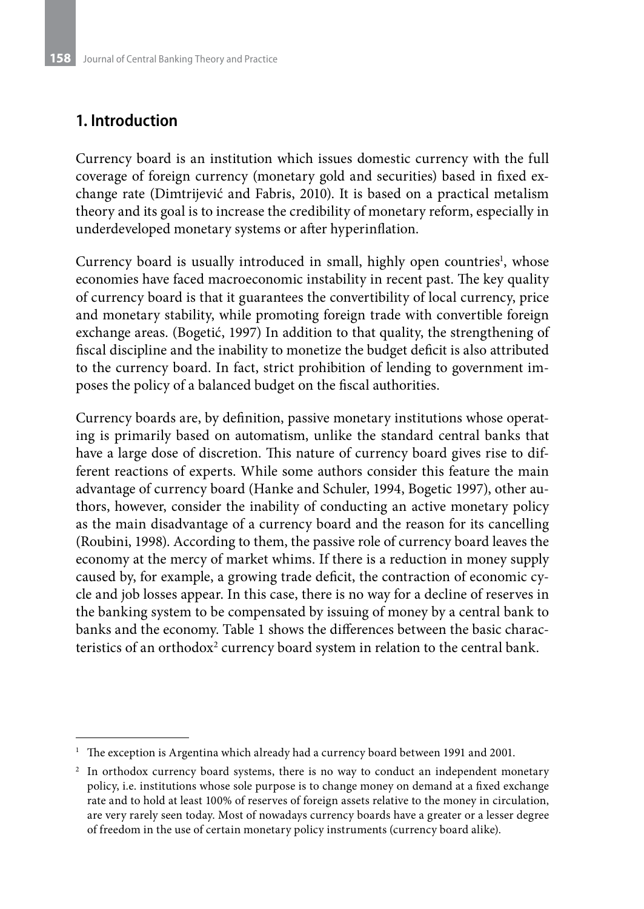## **1. Introduction**

Currency board is an institution which issues domestic currency with the full coverage of foreign currency (monetary gold and securities) based in fixed exchange rate (Dimtrijević and Fabris, 2010). It is based on a practical metalism theory and its goal is to increase the credibility of monetary reform, especially in underdeveloped monetary systems or after hyperinflation.

Currency board is usually introduced in small, highly open countries<sup>1</sup>, whose economies have faced macroeconomic instability in recent past. The key quality of currency board is that it guarantees the convertibility of local currency, price and monetary stability, while promoting foreign trade with convertible foreign exchange areas. (Bogetić, 1997) In addition to that quality, the strengthening of fiscal discipline and the inability to monetize the budget deficit is also attributed to the currency board. In fact, strict prohibition of lending to government imposes the policy of a balanced budget on the fiscal authorities.

Currency boards are, by definition, passive monetary institutions whose operating is primarily based on automatism, unlike the standard central banks that have a large dose of discretion. This nature of currency board gives rise to different reactions of experts. While some authors consider this feature the main advantage of currency board (Hanke and Schuler, 1994, Bogetic 1997), other authors, however, consider the inability of conducting an active monetary policy as the main disadvantage of a currency board and the reason for its cancelling (Roubini, 1998). According to them, the passive role of currency board leaves the economy at the mercy of market whims. If there is a reduction in money supply caused by, for example, a growing trade deficit, the contraction of economic cycle and job losses appear. In this case, there is no way for a decline of reserves in the banking system to be compensated by issuing of money by a central bank to banks and the economy. Table 1 shows the differences between the basic characteristics of an orthodox $^2$  currency board system in relation to the central bank.

<sup>1</sup> The exception is Argentina which already had a currency board between 1991 and 2001.

<sup>&</sup>lt;sup>2</sup> In orthodox currency board systems, there is no way to conduct an independent monetary policy, i.e. institutions whose sole purpose is to change money on demand at a fixed exchange rate and to hold at least 100% of reserves of foreign assets relative to the money in circulation, are very rarely seen today. Most of nowadays currency boards have a greater or a lesser degree of freedom in the use of certain monetary policy instruments (currency board alike).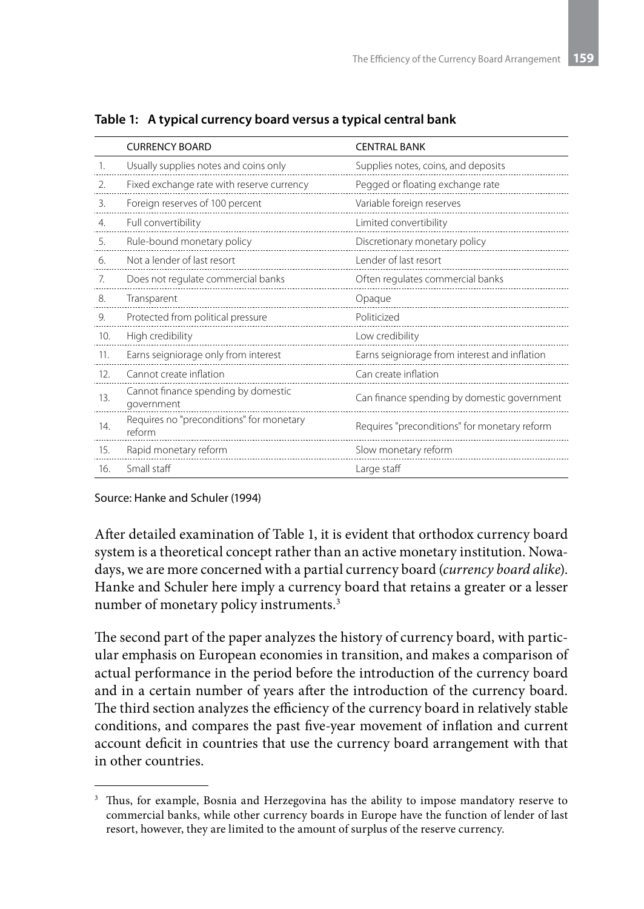|                | <b>CURRENCY BOARD</b>                              | <b>CENTRAL BANK</b>                           |
|----------------|----------------------------------------------------|-----------------------------------------------|
| $\mathbf{1}$ . | Usually supplies notes and coins only              | Supplies notes, coins, and deposits           |
| $\mathcal{L}$  | Fixed exchange rate with reserve currency          | Pegged or floating exchange rate              |
| 3.             | Foreign reserves of 100 percent                    | Variable foreign reserves                     |
| $\mathbf{4}$ . | Full convertibility                                | Limited convertibility                        |
| -5.            | Rule-bound monetary policy                         | Discretionary monetary policy                 |
| 6.             | Not a lender of last resort                        | Lender of last resort                         |
| 7.             | Does not regulate commercial banks                 | Often regulates commercial banks              |
| 8.             | Transparent                                        | Opaque                                        |
| 9.             | Protected from political pressure                  | Politicized                                   |
| 10.            | High credibility                                   | Low credibility                               |
| 11.            | Earns seigniorage only from interest               | Earns seigniorage from interest and inflation |
| 12.            | Cannot create inflation                            | Can create inflation                          |
| 13.            | Cannot finance spending by domestic<br>government  | Can finance spending by domestic government   |
| 14.            | Requires no "preconditions" for monetary<br>reform | Requires "preconditions" for monetary reform  |
| 15.            | Rapid monetary reform                              | Slow monetary reform                          |
| 16.            | Small staff                                        | Large staff                                   |

**Table 1: A typical currency board versus a typical central bank**

Source: Hanke and Schuler (1994)

After detailed examination of Table 1, it is evident that orthodox currency board system is a theoretical concept rather than an active monetary institution. Nowadays, we are more concerned with a partial currency board (*currency board alike*). Hanke and Schuler here imply a currency board that retains a greater or a lesser number of monetary policy instruments.<sup>3</sup>

The second part of the paper analyzes the history of currency board, with particular emphasis on European economies in transition, and makes a comparison of actual performance in the period before the introduction of the currency board and in a certain number of years after the introduction of the currency board. The third section analyzes the efficiency of the currency board in relatively stable conditions, and compares the past five-year movement of inflation and current account deficit in countries that use the currency board arrangement with that in other countries.

<sup>&</sup>lt;sup>3</sup> Thus, for example, Bosnia and Herzegovina has the ability to impose mandatory reserve to commercial banks, while other currency boards in Europe have the function of lender of last resort, however, they are limited to the amount of surplus of the reserve currency.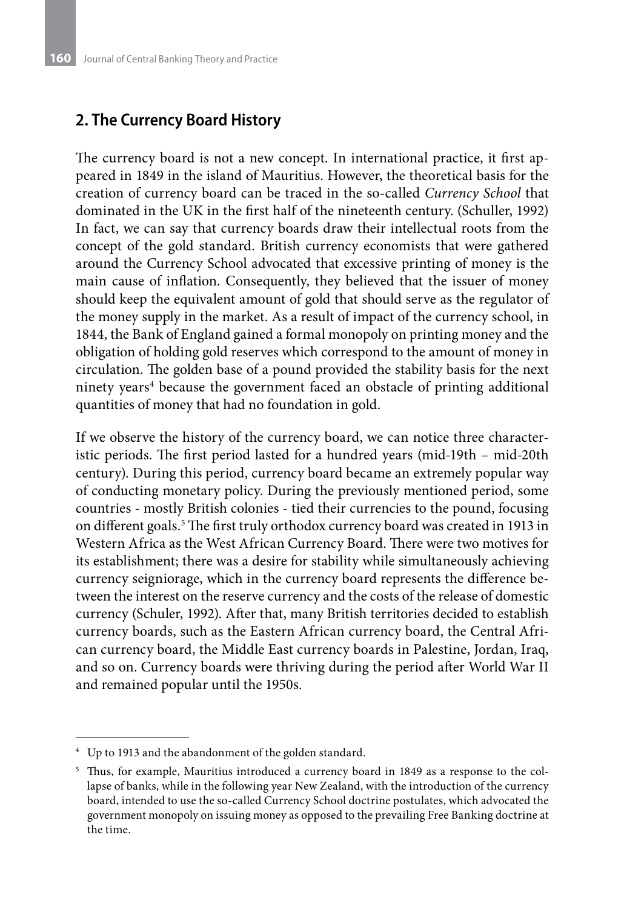## **2. The Currency Board History**

The currency board is not a new concept. In international practice, it first appeared in 1849 in the island of Mauritius. However, the theoretical basis for the creation of currency board can be traced in the so-called *Currency School* that dominated in the UK in the first half of the nineteenth century. (Schuller, 1992) In fact, we can say that currency boards draw their intellectual roots from the concept of the gold standard. British currency economists that were gathered around the Currency School advocated that excessive printing of money is the main cause of inflation. Consequently, they believed that the issuer of money should keep the equivalent amount of gold that should serve as the regulator of the money supply in the market. As a result of impact of the currency school, in 1844, the Bank of England gained a formal monopoly on printing money and the obligation of holding gold reserves which correspond to the amount of money in circulation. The golden base of a pound provided the stability basis for the next ninety years<sup>4</sup> because the government faced an obstacle of printing additional quantities of money that had no foundation in gold.

If we observe the history of the currency board, we can notice three characteristic periods. The first period lasted for a hundred years (mid-19th – mid-20th century). During this period, currency board became an extremely popular way of conducting monetary policy. During the previously mentioned period, some countries - mostly British colonies - tied their currencies to the pound, focusing on different goals.5 The first truly orthodox currency board was created in 1913 in Western Africa as the West African Currency Board. There were two motives for its establishment; there was a desire for stability while simultaneously achieving currency seigniorage, which in the currency board represents the difference between the interest on the reserve currency and the costs of the release of domestic currency (Schuler, 1992). After that, many British territories decided to establish currency boards, such as the Eastern African currency board, the Central African currency board, the Middle East currency boards in Palestine, Jordan, Iraq, and so on. Currency boards were thriving during the period after World War II and remained popular until the 1950s.

<sup>4</sup> Up to 1913 and the abandonment of the golden standard.

<sup>5</sup> Thus, for example, Mauritius introduced a currency board in 1849 as a response to the collapse of banks, while in the following year New Zealand, with the introduction of the currency board, intended to use the so-called Currency School doctrine postulates, which advocated the government monopoly on issuing money as opposed to the prevailing Free Banking doctrine at the time.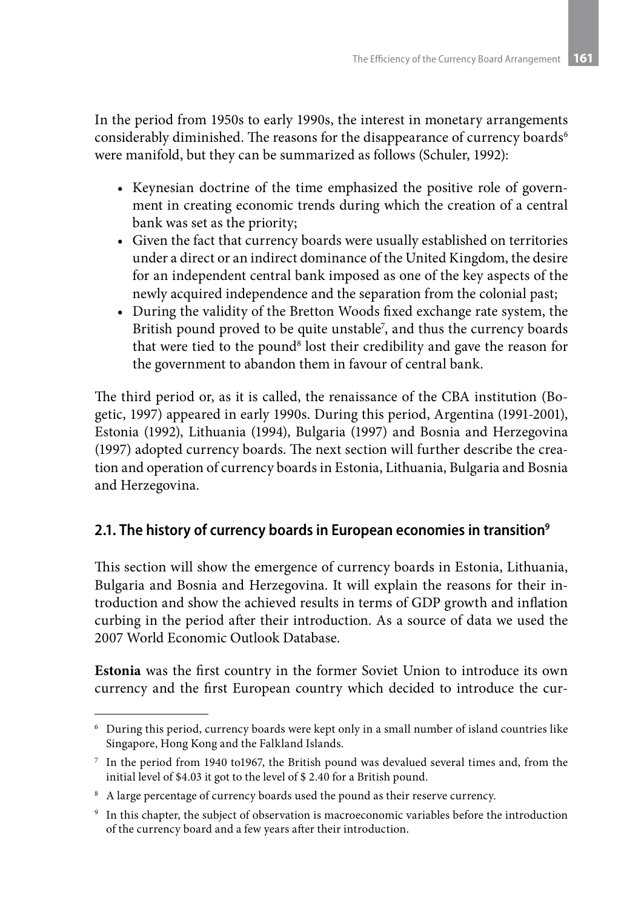In the period from 1950s to early 1990s, the interest in monetary arrangements considerably diminished. The reasons for the disappearance of currency boards<sup>6</sup> were manifold, but they can be summarized as follows (Schuler, 1992):

- Keynesian doctrine of the time emphasized the positive role of government in creating economic trends during which the creation of a central bank was set as the priority;
- Given the fact that currency boards were usually established on territories under a direct or an indirect dominance of the United Kingdom, the desire for an independent central bank imposed as one of the key aspects of the newly acquired independence and the separation from the colonial past;
- • During the validity of the Bretton Woods fixed exchange rate system, the British pound proved to be quite unstable<sup>7</sup>, and thus the currency boards that were tied to the pound<sup>8</sup> lost their credibility and gave the reason for the government to abandon them in favour of central bank.

The third period or, as it is called, the renaissance of the CBA institution (Bogetic, 1997) appeared in early 1990s. During this period, Argentina (1991-2001), Estonia (1992), Lithuania (1994), Bulgaria (1997) and Bosnia and Herzegovina (1997) adopted currency boards. The next section will further describe the creation and operation of currency boards in Estonia, Lithuania, Bulgaria and Bosnia and Herzegovina.

## **2.1. The history of currency boards in European economies in transition9**

This section will show the emergence of currency boards in Estonia, Lithuania, Bulgaria and Bosnia and Herzegovina. It will explain the reasons for their introduction and show the achieved results in terms of GDP growth and inflation curbing in the period after their introduction. As a source of data we used the 2007 World Economic Outlook Database.

**Estonia** was the first country in the former Soviet Union to introduce its own currency and the first European country which decided to introduce the cur-

 $6$  During this period, currency boards were kept only in a small number of island countries like Singapore, Hong Kong and the Falkland Islands.

<sup>7</sup> In the period from 1940 to1967, the British pound was devalued several times and, from the initial level of \$4.03 it got to the level of \$ 2.40 for a British pound.

<sup>&</sup>lt;sup>8</sup> A large percentage of currency boards used the pound as their reserve currency.

<sup>9</sup> In this chapter, the subject of observation is macroeconomic variables before the introduction of the currency board and a few years after their introduction.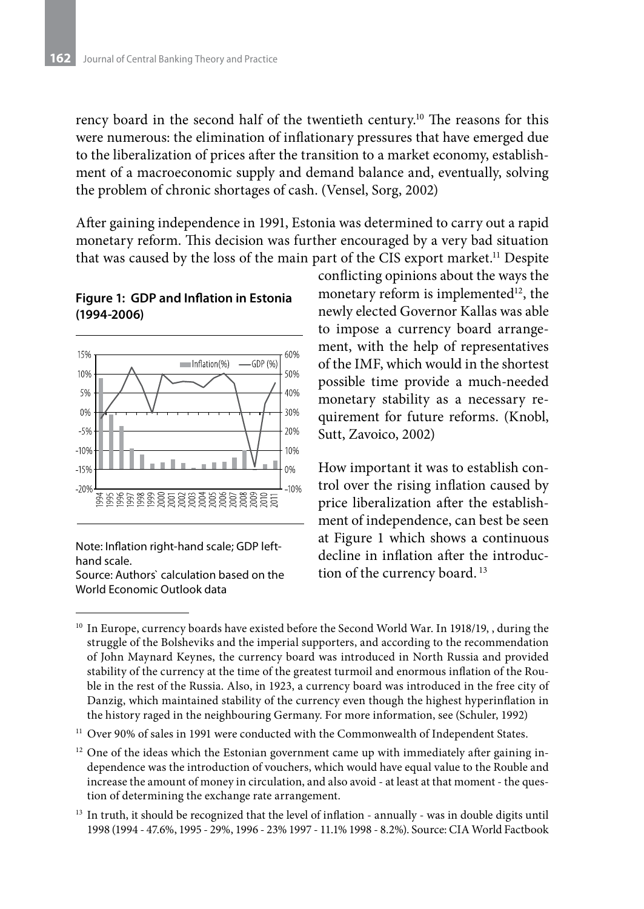rency board in the second half of the twentieth century.10 The reasons for this were numerous: the elimination of inflationary pressures that have emerged due to the liberalization of prices after the transition to a market economy, establishment of a macroeconomic supply and demand balance and, eventually, solving the problem of chronic shortages of cash. (Vensel, Sorg, 2002)

After gaining independence in 1991, Estonia was determined to carry out a rapid monetary reform. This decision was further encouraged by a very bad situation that was caused by the loss of the main part of the CIS export market.11 Despite

#### **Figure 1: GDP and Inflation in Estonia (1994-2006)**



Note: Inflation right-hand scale; GDP lefthand scale.

Source: Authors` calculation based on the World Economic Outlook data

conflicting opinions about the ways the monetary reform is implemented $12$ , the newly elected Governor Kallas was able to impose a currency board arrangement, with the help of representatives of the IMF, which would in the shortest possible time provide a much-needed monetary stability as a necessary requirement for future reforms. (Knobl, Sutt, Zavoico, 2002)

How important it was to establish control over the rising inflation caused by price liberalization after the establishment of independence, can best be seen at Figure 1 which shows a continuous decline in inflation after the introduction of the currency board.<sup>13</sup>

- <sup>11</sup> Over 90% of sales in 1991 were conducted with the Commonwealth of Independent States.
- $12$  One of the ideas which the Estonian government came up with immediately after gaining independence was the introduction of vouchers, which would have equal value to the Rouble and increase the amount of money in circulation, and also avoid - at least at that moment - the question of determining the exchange rate arrangement.
- <sup>13</sup> In truth, it should be recognized that the level of inflation annually was in double digits until 1998 (1994 - 47.6%, 1995 - 29%, 1996 - 23% 1997 - 11.1% 1998 - 8.2%). Source: CIA World Factbook

<sup>&</sup>lt;sup>10</sup> In Europe, currency boards have existed before the Second World War. In 1918/19, , during the struggle of the Bolsheviks and the imperial supporters, and according to the recommendation of John Maynard Keynes, the currency board was introduced in North Russia and provided stability of the currency at the time of the greatest turmoil and enormous inflation of the Rouble in the rest of the Russia. Also, in 1923, a currency board was introduced in the free city of Danzig, which maintained stability of the currency even though the highest hyperinflation in the history raged in the neighbouring Germany. For more information, see (Schuler, 1992)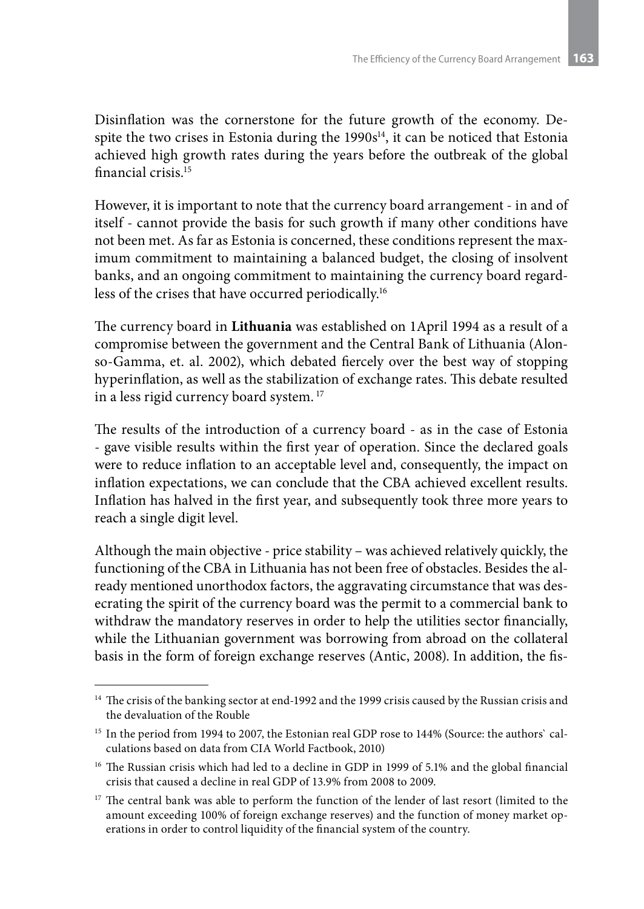Disinflation was the cornerstone for the future growth of the economy. Despite the two crises in Estonia during the  $1990s<sup>14</sup>$ , it can be noticed that Estonia achieved high growth rates during the years before the outbreak of the global financial crisis.15

However, it is important to note that the currency board arrangement - in and of itself - cannot provide the basis for such growth if many other conditions have not been met. As far as Estonia is concerned, these conditions represent the maximum commitment to maintaining a balanced budget, the closing of insolvent banks, and an ongoing commitment to maintaining the currency board regardless of the crises that have occurred periodically.16

The currency board in **Lithuania** was established on 1April 1994 as a result of a compromise between the government and the Central Bank of Lithuania (Alonso-Gamma, et. al. 2002), which debated fiercely over the best way of stopping hyperinflation, as well as the stabilization of exchange rates. This debate resulted in a less rigid currency board system. <sup>17</sup>

The results of the introduction of a currency board - as in the case of Estonia - gave visible results within the first year of operation. Since the declared goals were to reduce inflation to an acceptable level and, consequently, the impact on inflation expectations, we can conclude that the CBA achieved excellent results. Inflation has halved in the first year, and subsequently took three more years to reach a single digit level.

Although the main objective - price stability – was achieved relatively quickly, the functioning of the CBA in Lithuania has not been free of obstacles. Besides the already mentioned unorthodox factors, the aggravating circumstance that was desecrating the spirit of the currency board was the permit to a commercial bank to withdraw the mandatory reserves in order to help the utilities sector financially, while the Lithuanian government was borrowing from abroad on the collateral basis in the form of foreign exchange reserves (Antic, 2008). In addition, the fis-

<sup>&</sup>lt;sup>14</sup> The crisis of the banking sector at end-1992 and the 1999 crisis caused by the Russian crisis and the devaluation of the Rouble

<sup>&</sup>lt;sup>15</sup> In the period from 1994 to 2007, the Estonian real GDP rose to 144% (Source: the authors` calculations based on data from CIA World Factbook, 2010)

<sup>&</sup>lt;sup>16</sup> The Russian crisis which had led to a decline in GDP in 1999 of 5.1% and the global financial crisis that caused a decline in real GDP of 13.9% from 2008 to 2009.

<sup>&</sup>lt;sup>17</sup> The central bank was able to perform the function of the lender of last resort (limited to the amount exceeding 100% of foreign exchange reserves) and the function of money market operations in order to control liquidity of the financial system of the country.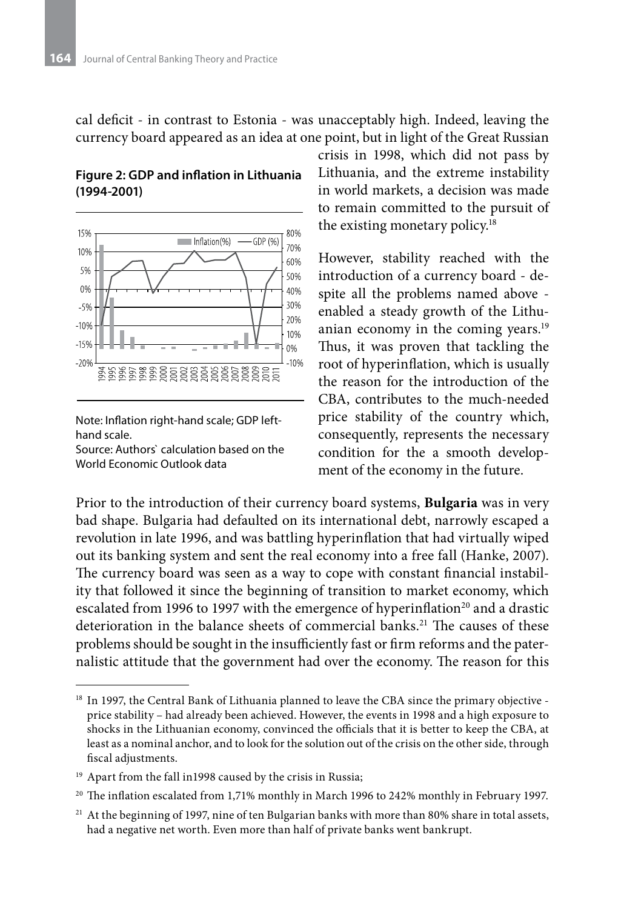cal deficit - in contrast to Estonia - was unacceptably high. Indeed, leaving the currency board appeared as an idea at one point, but in light of the Great Russian





Note: Inflation right-hand scale; GDP lefthand scale.

Source: Authors` calculation based on the World Economic Outlook data

crisis in 1998, which did not pass by Lithuania, and the extreme instability in world markets, a decision was made to remain committed to the pursuit of the existing monetary policy.<sup>18</sup>

However, stability reached with the introduction of a currency board - despite all the problems named above enabled a steady growth of the Lithuanian economy in the coming years.<sup>19</sup> Thus, it was proven that tackling the root of hyperinflation, which is usually the reason for the introduction of the CBA, contributes to the much-needed price stability of the country which, consequently, represents the necessary condition for the a smooth development of the economy in the future.

Prior to the introduction of their currency board systems, **Bulgaria** was in very bad shape. Bulgaria had defaulted on its international debt, narrowly escaped a revolution in late 1996, and was battling hyperinflation that had virtually wiped out its banking system and sent the real economy into a free fall (Hanke, 2007). The currency board was seen as a way to cope with constant financial instability that followed it since the beginning of transition to market economy, which escalated from 1996 to 1997 with the emergence of hyperinflation<sup>20</sup> and a drastic deterioration in the balance sheets of commercial banks.<sup>21</sup> The causes of these problems should be sought in the insufficiently fast or firm reforms and the paternalistic attitude that the government had over the economy. The reason for this

<sup>&</sup>lt;sup>18</sup> In 1997, the Central Bank of Lithuania planned to leave the CBA since the primary objective price stability – had already been achieved. However, the events in 1998 and a high exposure to shocks in the Lithuanian economy, convinced the officials that it is better to keep the CBA, at least as a nominal anchor, and to look for the solution out of the crisis on the other side, through fiscal adjustments.

<sup>&</sup>lt;sup>19</sup> Apart from the fall in1998 caused by the crisis in Russia;

 $20$  The inflation escalated from 1,71% monthly in March 1996 to 242% monthly in February 1997.

<sup>&</sup>lt;sup>21</sup> At the beginning of 1997, nine of ten Bulgarian banks with more than 80% share in total assets, had a negative net worth. Even more than half of private banks went bankrupt.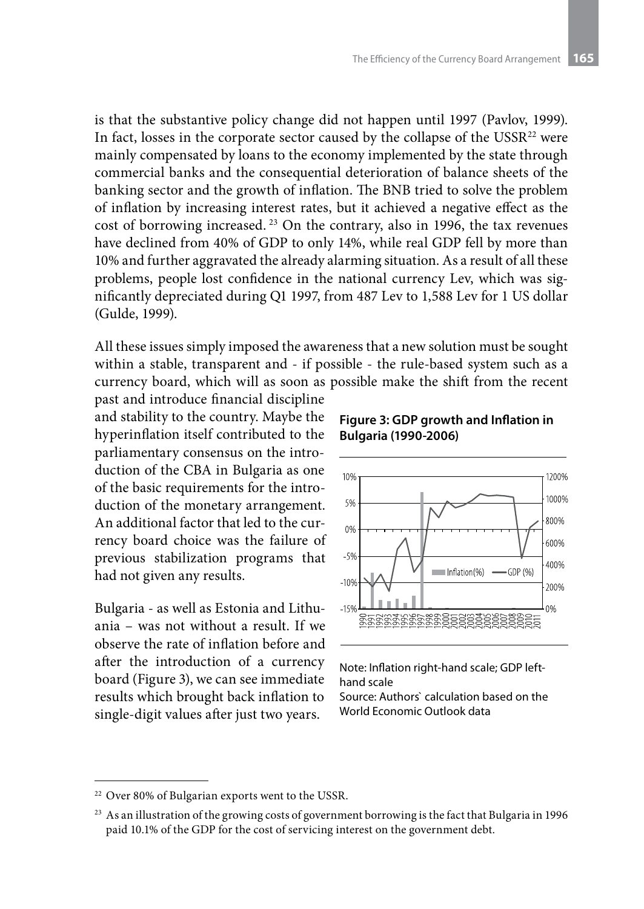is that the substantive policy change did not happen until 1997 (Pavlov, 1999). In fact, losses in the corporate sector caused by the collapse of the USSR<sup>22</sup> were mainly compensated by loans to the economy implemented by the state through commercial banks and the consequential deterioration of balance sheets of the banking sector and the growth of inflation. The BNB tried to solve the problem of inflation by increasing interest rates, but it achieved a negative effect as the cost of borrowing increased. 23 On the contrary, also in 1996, the tax revenues have declined from 40% of GDP to only 14%, while real GDP fell by more than 10% and further aggravated the already alarming situation. As a result of all these problems, people lost confidence in the national currency Lev, which was significantly depreciated during Q1 1997, from 487 Lev to 1,588 Lev for 1 US dollar (Gulde, 1999).

All these issues simply imposed the awareness that a new solution must be sought within a stable, transparent and - if possible - the rule-based system such as a currency board, which will as soon as possible make the shift from the recent

past and introduce financial discipline and stability to the country. Maybe the hyperinflation itself contributed to the parliamentary consensus on the introduction of the CBA in Bulgaria as one of the basic requirements for the introduction of the monetary arrangement. An additional factor that led to the currency board choice was the failure of previous stabilization programs that had not given any results.

Bulgaria - as well as Estonia and Lithuania – was not without a result. If we observe the rate of inflation before and after the introduction of a currency board (Figure 3), we can see immediate results which brought back inflation to single-digit values after just two years.





Note: Inflation right-hand scale; GDP lefthand scale

Source: Authors` calculation based on the World Economic Outlook data

<sup>22</sup> Over 80% of Bulgarian exports went to the USSR.

<sup>&</sup>lt;sup>23</sup> As an illustration of the growing costs of government borrowing is the fact that Bulgaria in 1996 paid 10.1% of the GDP for the cost of servicing interest on the government debt.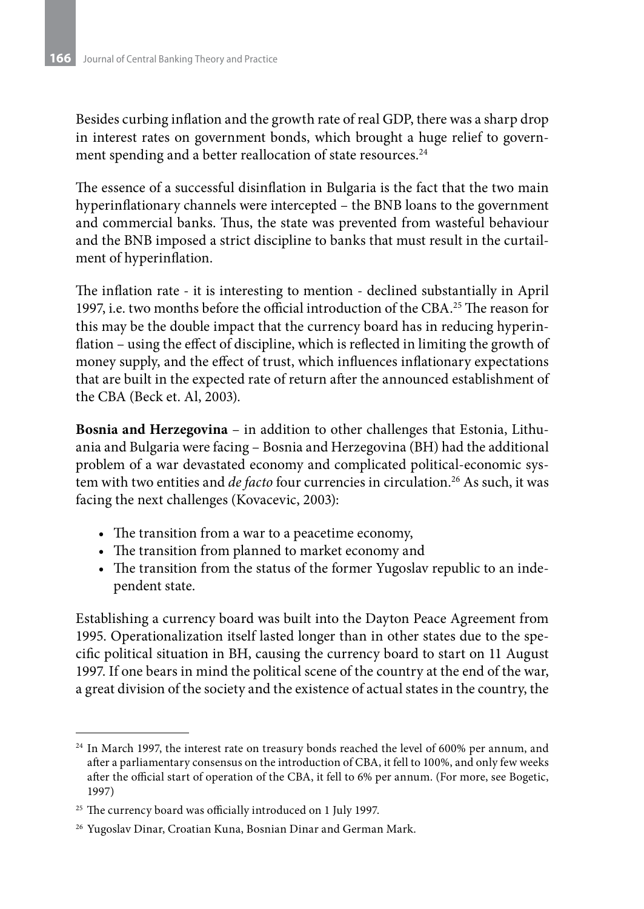Besides curbing inflation and the growth rate of real GDP, there was a sharp drop in interest rates on government bonds, which brought a huge relief to government spending and a better reallocation of state resources.<sup>24</sup>

The essence of a successful disinflation in Bulgaria is the fact that the two main hyperinflationary channels were intercepted – the BNB loans to the government and commercial banks. Thus, the state was prevented from wasteful behaviour and the BNB imposed a strict discipline to banks that must result in the curtailment of hyperinflation.

The inflation rate - it is interesting to mention - declined substantially in April 1997, i.e. two months before the official introduction of the CBA.25 The reason for this may be the double impact that the currency board has in reducing hyperinflation – using the effect of discipline, which is reflected in limiting the growth of money supply, and the effect of trust, which influences inflationary expectations that are built in the expected rate of return after the announced establishment of the CBA (Beck et. Al, 2003).

**Bosnia and Herzegovina** – in addition to other challenges that Estonia, Lithuania and Bulgaria were facing – Bosnia and Herzegovina (BH) had the additional problem of a war devastated economy and complicated political-economic system with two entities and *de facto* four currencies in circulation.<sup>26</sup> As such, it was facing the next challenges (Kovacevic, 2003):

- The transition from a war to a peacetime economy,
- The transition from planned to market economy and
- The transition from the status of the former Yugoslav republic to an independent state.

Establishing a currency board was built into the Dayton Peace Agreement from 1995. Operationalization itself lasted longer than in other states due to the specific political situation in BH, causing the currency board to start on 11 August 1997. If one bears in mind the political scene of the country at the end of the war, a great division of the society and the existence of actual states in the country, the

<sup>&</sup>lt;sup>24</sup> In March 1997, the interest rate on treasury bonds reached the level of 600% per annum, and after a parliamentary consensus on the introduction of CBA, it fell to 100%, and only few weeks after the official start of operation of the CBA, it fell to 6% per annum. (For more, see Bogetic, 1997)

<sup>&</sup>lt;sup>25</sup> The currency board was officially introduced on 1 July 1997.

<sup>26</sup> Yugoslav Dinar, Croatian Kuna, Bosnian Dinar and German Mark.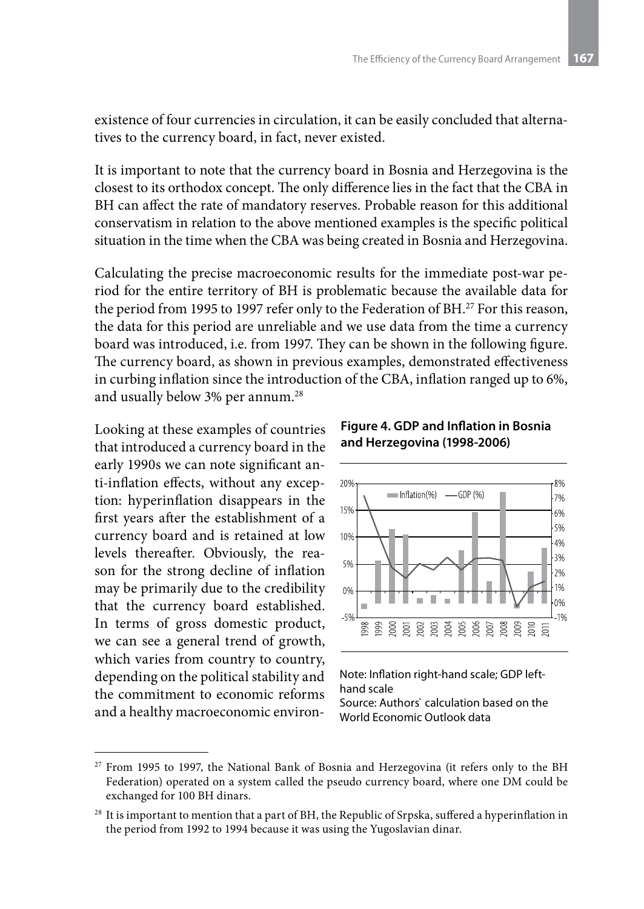existence of four currencies in circulation, it can be easily concluded that alternatives to the currency board, in fact, never existed.

It is important to note that the currency board in Bosnia and Herzegovina is the closest to its orthodox concept. The only difference lies in the fact that the CBA in BH can affect the rate of mandatory reserves. Probable reason for this additional conservatism in relation to the above mentioned examples is the specific political situation in the time when the CBA was being created in Bosnia and Herzegovina.

Calculating the precise macroeconomic results for the immediate post-war period for the entire territory of BH is problematic because the available data for the period from 1995 to 1997 refer only to the Federation of BH.<sup>27</sup> For this reason, the data for this period are unreliable and we use data from the time a currency board was introduced, i.e. from 1997. They can be shown in the following figure. The currency board, as shown in previous examples, demonstrated effectiveness in curbing inflation since the introduction of the CBA, inflation ranged up to 6%, and usually below 3% per annum.<sup>28</sup>

Looking at these examples of countries that introduced a currency board in the early 1990s we can note significant anti-inflation effects, without any exception: hyperinflation disappears in the first years after the establishment of a currency board and is retained at low levels thereafter. Obviously, the reason for the strong decline of inflation may be primarily due to the credibility that the currency board established. In terms of gross domestic product, we can see a general trend of growth, which varies from country to country, depending on the political stability and the commitment to economic reforms and a healthy macroeconomic environ-

**Figure 4. GDP and Inflation in Bosnia and Herzegovina (1998-2006)**



Note: Inflation right-hand scale; GDP lefthand scale

Source: Authors` calculation based on the World Economic Outlook data

<sup>&</sup>lt;sup>27</sup> From 1995 to 1997, the National Bank of Bosnia and Herzegovina (it refers only to the BH Federation) operated on a system called the pseudo currency board, where one DM could be exchanged for 100 BH dinars.

<sup>&</sup>lt;sup>28</sup> It is important to mention that a part of BH, the Republic of Srpska, suffered a hyperinflation in the period from 1992 to 1994 because it was using the Yugoslavian dinar.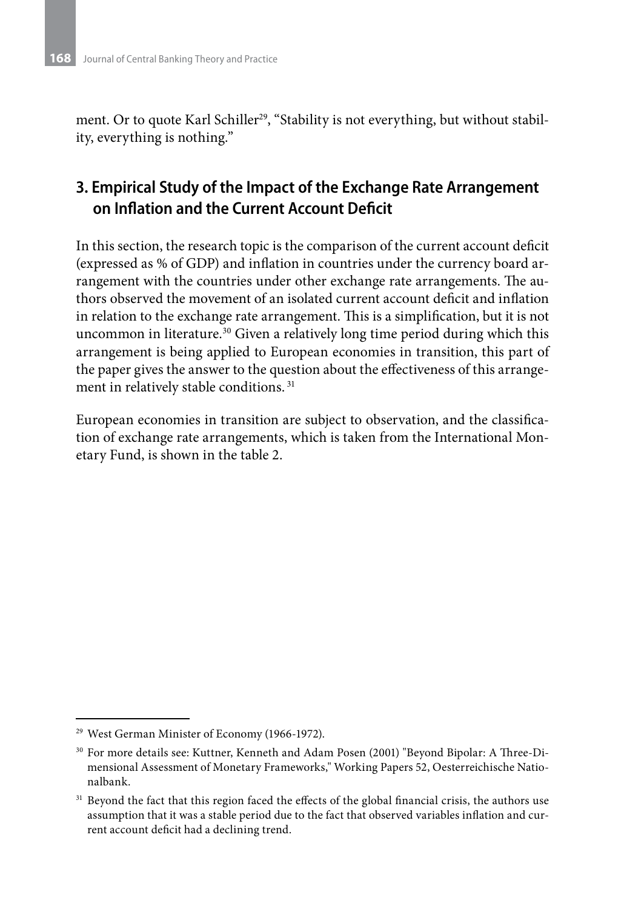ment. Or to quote Karl Schiller<sup>29</sup>, "Stability is not everything, but without stability, everything is nothing."

## **3. Empirical Study of the Impact of the Exchange Rate Arrangement on Inflation and the Current Account Deficit**

In this section, the research topic is the comparison of the current account deficit (expressed as % of GDP) and inflation in countries under the currency board arrangement with the countries under other exchange rate arrangements. The authors observed the movement of an isolated current account deficit and inflation in relation to the exchange rate arrangement. This is a simplification, but it is not uncommon in literature.30 Given a relatively long time period during which this arrangement is being applied to European economies in transition, this part of the paper gives the answer to the question about the effectiveness of this arrangement in relatively stable conditions. <sup>31</sup>

European economies in transition are subject to observation, and the classification of exchange rate arrangements, which is taken from the International Monetary Fund, is shown in the table 2.

<sup>29</sup> West German Minister of Economy (1966-1972).

<sup>30</sup> For more details see: Kuttner, Kenneth and Adam Posen (2001) "Beyond Bipolar: A Three-Dimensional Assessment of Monetary Frameworks," Working Papers 52, Oesterreichische Nationalbank.

<sup>&</sup>lt;sup>31</sup> Beyond the fact that this region faced the effects of the global financial crisis, the authors use assumption that it was a stable period due to the fact that observed variables inflation and current account deficit had a declining trend.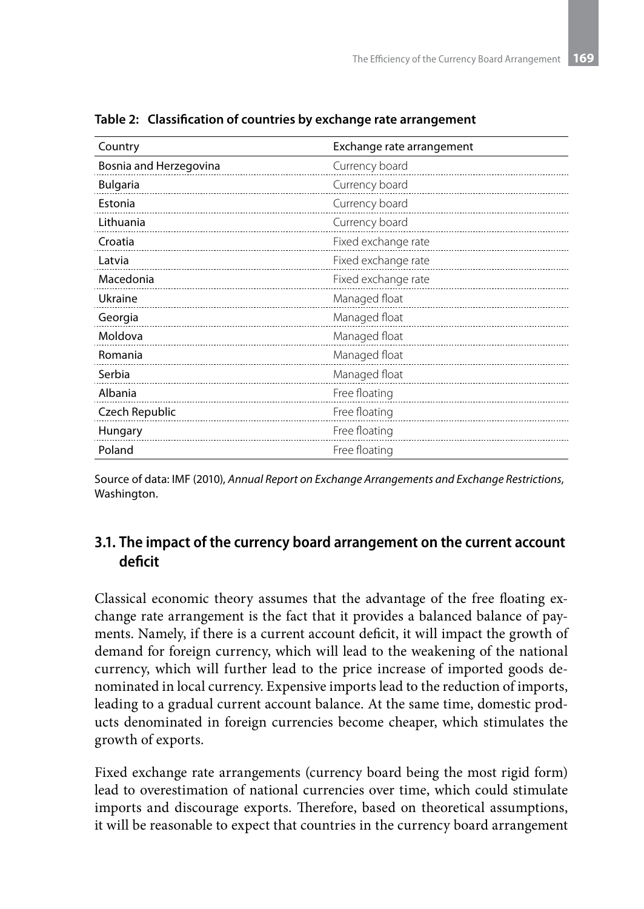| Country                | Exchange rate arrangement |  |  |  |  |
|------------------------|---------------------------|--|--|--|--|
| Bosnia and Herzegovina | Currency board            |  |  |  |  |
| <b>Bulgaria</b>        | Currency board            |  |  |  |  |
| Estonia                | Currency board            |  |  |  |  |
| Lithuania              | Currency board            |  |  |  |  |
| Croatia                | Fixed exchange rate       |  |  |  |  |
| Latvia                 | Fixed exchange rate       |  |  |  |  |
| Macedonia              | Fixed exchange rate       |  |  |  |  |
| Ukraine                | Managed float             |  |  |  |  |
| Georgia                | Managed float             |  |  |  |  |
| Moldova                | Managed float             |  |  |  |  |
| Romania                | Managed float             |  |  |  |  |
| Serbia                 | Managed float             |  |  |  |  |
| Albania                | Free floating             |  |  |  |  |
| Czech Republic         | Free floating             |  |  |  |  |
| Hungary                | Free floating             |  |  |  |  |
| Poland                 | Free floating             |  |  |  |  |

**Table 2: Classification of countries by exchange rate arrangement**

Source of data: IMF (2010), *Annual Report on Exchange Arrangements and Exchange Restrictions*, Washington.

### **3.1. The impact of the currency board arrangement on the current account deficit**

Classical economic theory assumes that the advantage of the free floating exchange rate arrangement is the fact that it provides a balanced balance of payments. Namely, if there is a current account deficit, it will impact the growth of demand for foreign currency, which will lead to the weakening of the national currency, which will further lead to the price increase of imported goods denominated in local currency. Expensive imports lead to the reduction of imports, leading to a gradual current account balance. At the same time, domestic products denominated in foreign currencies become cheaper, which stimulates the growth of exports.

Fixed exchange rate arrangements (currency board being the most rigid form) lead to overestimation of national currencies over time, which could stimulate imports and discourage exports. Therefore, based on theoretical assumptions, it will be reasonable to expect that countries in the currency board arrangement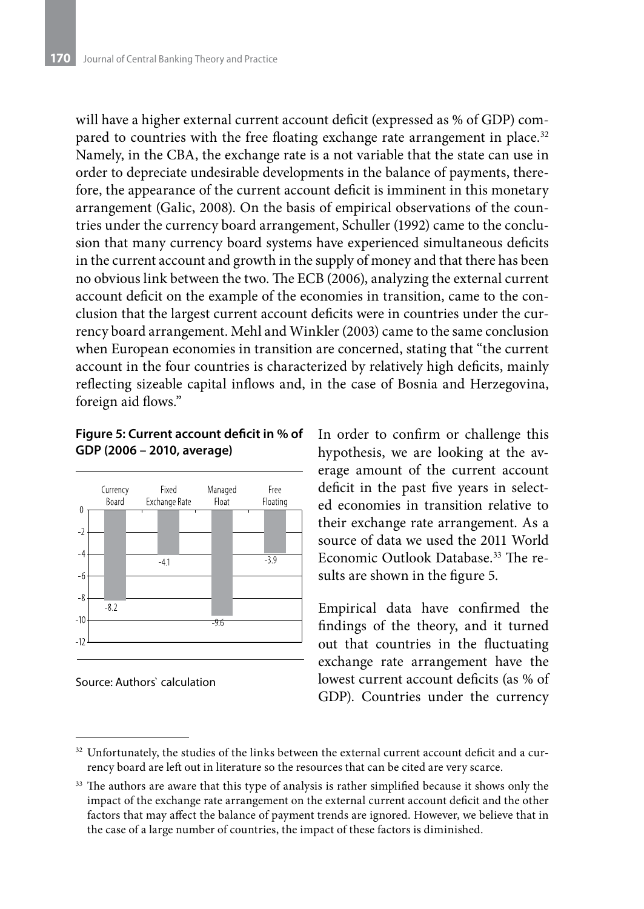will have a higher external current account deficit (expressed as % of GDP) compared to countries with the free floating exchange rate arrangement in place.<sup>32</sup> Namely, in the CBA, the exchange rate is a not variable that the state can use in order to depreciate undesirable developments in the balance of payments, therefore, the appearance of the current account deficit is imminent in this monetary arrangement (Galic, 2008). On the basis of empirical observations of the countries under the currency board arrangement, Schuller (1992) came to the conclusion that many currency board systems have experienced simultaneous deficits in the current account and growth in the supply of money and that there has been no obvious link between the two. The ECB (2006), analyzing the external current account deficit on the example of the economies in transition, came to the conclusion that the largest current account deficits were in countries under the currency board arrangement. Mehl and Winkler (2003) came to the same conclusion when European economies in transition are concerned, stating that "the current account in the four countries is characterized by relatively high deficits, mainly reflecting sizeable capital inflows and, in the case of Bosnia and Herzegovina, foreign aid flows."

#### **Figure 5: Current account deficit in % of GDP (2006 – 2010, average)**



Source: Authors` calculation

In order to confirm or challenge this hypothesis, we are looking at the average amount of the current account deficit in the past five years in selected economies in transition relative to their exchange rate arrangement. As a source of data we used the 2011 World Economic Outlook Database<sup>33</sup> The results are shown in the figure 5.

Empirical data have confirmed the findings of the theory, and it turned out that countries in the fluctuating exchange rate arrangement have the lowest current account deficits (as % of GDP). Countries under the currency

 $32$  Unfortunately, the studies of the links between the external current account deficit and a currency board are left out in literature so the resources that can be cited are very scarce.

<sup>&</sup>lt;sup>33</sup> The authors are aware that this type of analysis is rather simplified because it shows only the impact of the exchange rate arrangement on the external current account deficit and the other factors that may affect the balance of payment trends are ignored. However, we believe that in the case of a large number of countries, the impact of these factors is diminished.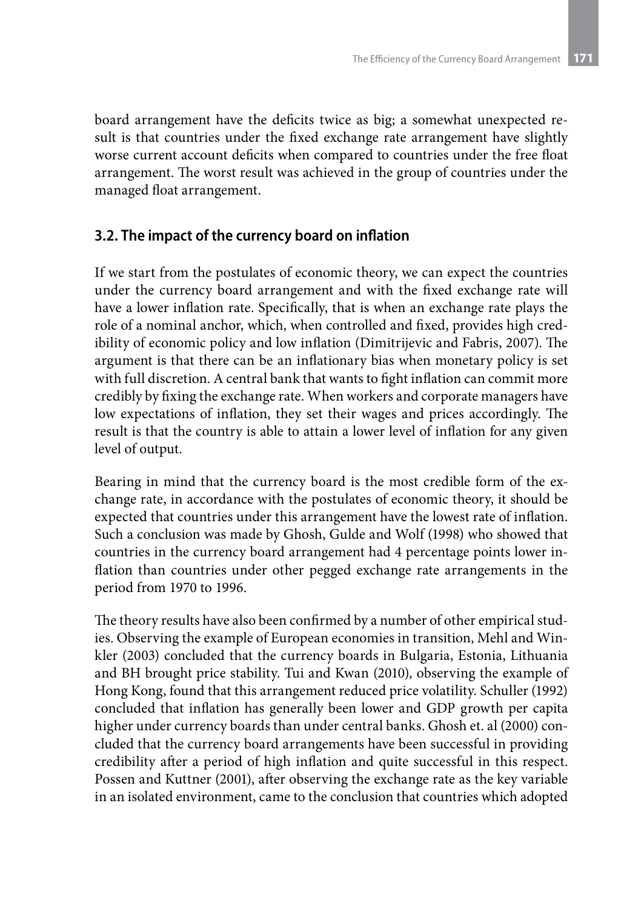board arrangement have the deficits twice as big; a somewhat unexpected result is that countries under the fixed exchange rate arrangement have slightly worse current account deficits when compared to countries under the free float arrangement. The worst result was achieved in the group of countries under the managed float arrangement.

### **3.2. The impact of the currency board on inflation**

If we start from the postulates of economic theory, we can expect the countries under the currency board arrangement and with the fixed exchange rate will have a lower inflation rate. Specifically, that is when an exchange rate plays the role of a nominal anchor, which, when controlled and fixed, provides high credibility of economic policy and low inflation (Dimitrijevic and Fabris, 2007). The argument is that there can be an inflationary bias when monetary policy is set with full discretion. A central bank that wants to fight inflation can commit more credibly by fixing the exchange rate. When workers and corporate managers have low expectations of inflation, they set their wages and prices accordingly. The result is that the country is able to attain a lower level of inflation for any given level of output.

Bearing in mind that the currency board is the most credible form of the exchange rate, in accordance with the postulates of economic theory, it should be expected that countries under this arrangement have the lowest rate of inflation. Such a conclusion was made by Ghosh, Gulde and Wolf (1998) who showed that countries in the currency board arrangement had 4 percentage points lower inflation than countries under other pegged exchange rate arrangements in the period from 1970 to 1996.

The theory results have also been confirmed by a number of other empirical studies. Observing the example of European economies in transition, Mehl and Winkler (2003) concluded that the currency boards in Bulgaria, Estonia, Lithuania and BH brought price stability. Tui and Kwan (2010), observing the example of Hong Kong, found that this arrangement reduced price volatility. Schuller (1992) concluded that inflation has generally been lower and GDP growth per capita higher under currency boards than under central banks. Ghosh et. al (2000) concluded that the currency board arrangements have been successful in providing credibility after a period of high inflation and quite successful in this respect. Possen and Kuttner (2001), after observing the exchange rate as the key variable in an isolated environment, came to the conclusion that countries which adopted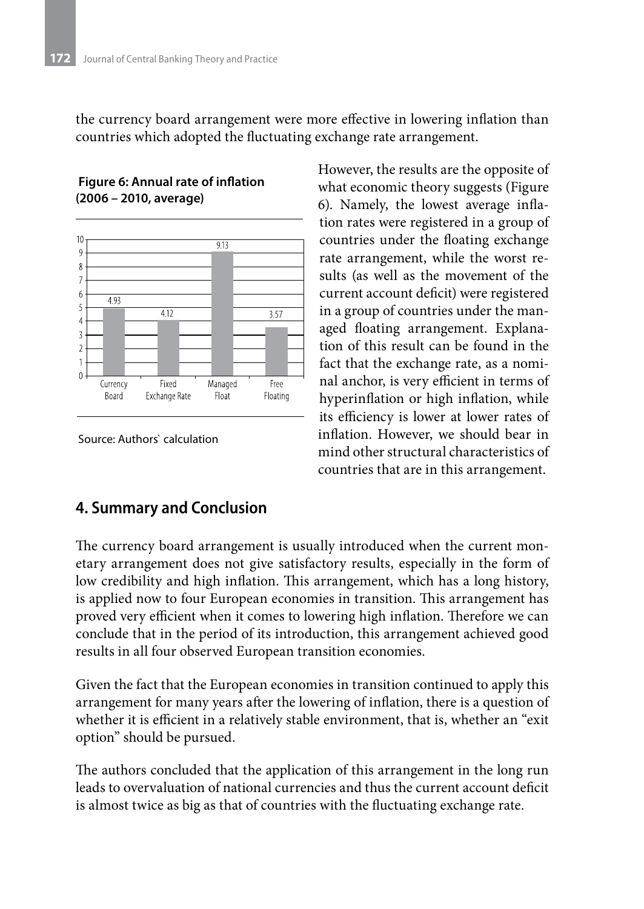the currency board arrangement were more effective in lowering inflation than countries which adopted the fluctuating exchange rate arrangement.



### **Figure 6: Annual rate of inflation (2006 – 2010, average)**

Source: Authors` calculation

However, the results are the opposite of what economic theory suggests (Figure 6). Namely, the lowest average inflation rates were registered in a group of countries under the floating exchange rate arrangement, while the worst results (as well as the movement of the current account deficit) were registered in a group of countries under the managed floating arrangement. Explanation of this result can be found in the fact that the exchange rate, as a nominal anchor, is very efficient in terms of hyperinflation or high inflation, while its efficiency is lower at lower rates of inflation. However, we should bear in mind other structural characteristics of countries that are in this arrangement.

## **4. Summary and Conclusion**

The currency board arrangement is usually introduced when the current monetary arrangement does not give satisfactory results, especially in the form of low credibility and high inflation. This arrangement, which has a long history, is applied now to four European economies in transition. This arrangement has proved very efficient when it comes to lowering high inflation. Therefore we can conclude that in the period of its introduction, this arrangement achieved good results in all four observed European transition economies.

Given the fact that the European economies in transition continued to apply this arrangement for many years after the lowering of inflation, there is a question of whether it is efficient in a relatively stable environment, that is, whether an "exit option" should be pursued.

The authors concluded that the application of this arrangement in the long run leads to overvaluation of national currencies and thus the current account deficit is almost twice as big as that of countries with the fluctuating exchange rate.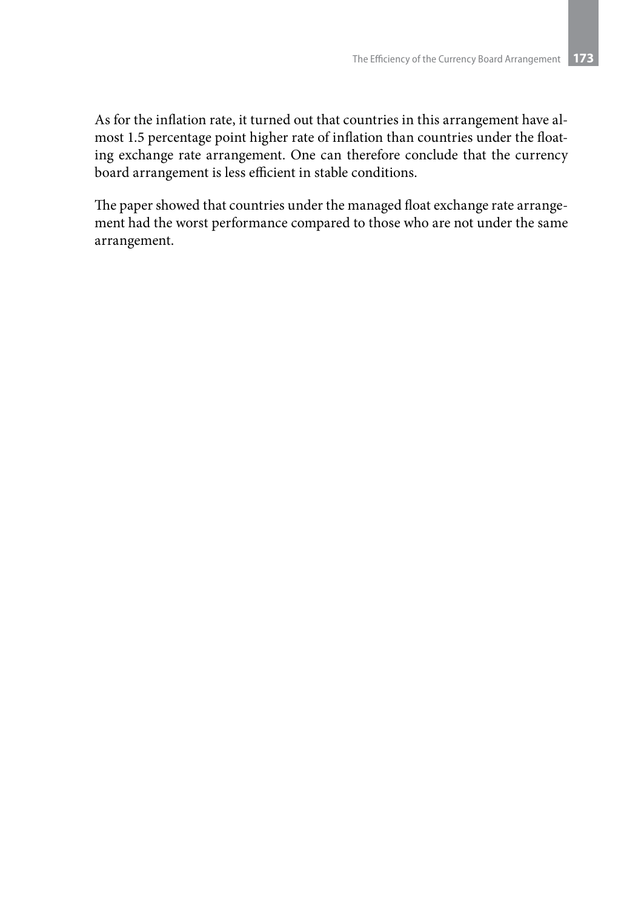As for the inflation rate, it turned out that countries in this arrangement have almost 1.5 percentage point higher rate of inflation than countries under the floating exchange rate arrangement. One can therefore conclude that the currency board arrangement is less efficient in stable conditions.

The paper showed that countries under the managed float exchange rate arrangement had the worst performance compared to those who are not under the same arrangement.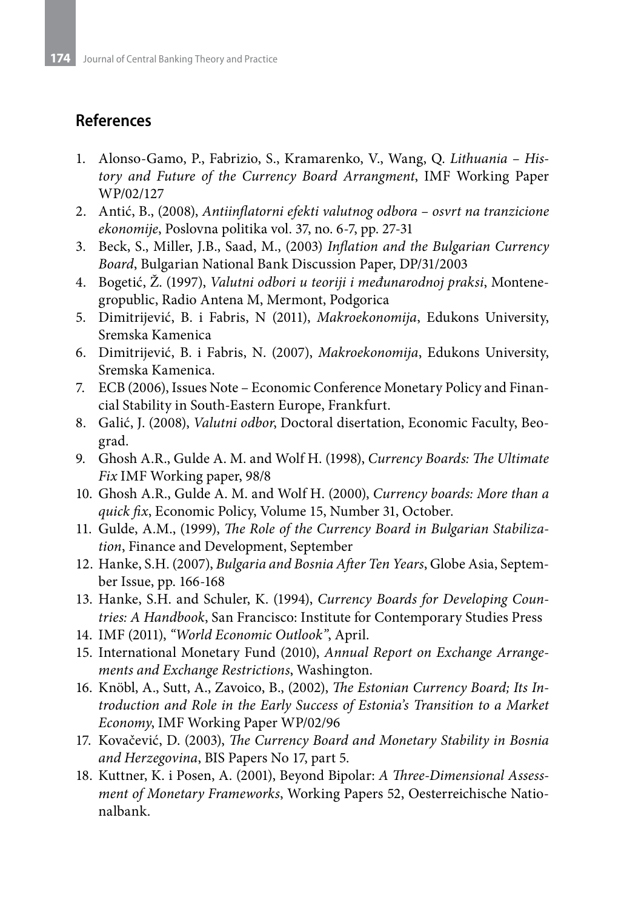## **References**

- 1. Alonso-Gamo, P., Fabrizio, S., Kramarenko, V., Wang, Q. *Lithuania History and Future of the Currency Board Arrangment*, IMF Working Paper WP/02/127
- 2. Antić, B., (2008), *Antiinflatorni efekti valutnog odbora osvrt na tranzicione ekonomije*, Poslovna politika vol. 37, no. 6-7, pp. 27-31
- 3. Beck, S., Miller, J.B., Saad, M., (2003) *Inflation and the Bulgarian Currency Board*, Bulgarian National Bank Discussion Paper, DP/31/2003
- 4. Bogetić, Ž. (1997), *Valutni odbori u teoriji i međunarodnoj praksi*, Montenegropublic, Radio Antena M, Mermont, Podgorica
- 5. Dimitrijević, B. i Fabris, N (2011), *Makroekonomija*, Edukons University, Sremska Kamenica
- 6. Dimitrijević, B. i Fabris, N. (2007), *Makroekonomija*, Edukons University, Sremska Kamenica.
- 7. ECB (2006), Issues Note Economic Conference Monetary Policy and Financial Stability in South-Eastern Europe, Frankfurt.
- 8. Galić, J. (2008), *Valutni odbor*, Doctoral disertation, Economic Faculty, Beograd.
- 9. Ghosh A.R., Gulde A. M. and Wolf H. (1998), *Currency Boards: The Ultimate Fix* IMF Working paper, 98/8
- 10. Ghosh A.R., Gulde A. M. and Wolf H. (2000), *Currency boards: More than a quick fix*, Economic Policy, Volume 15, Number 31, October.
- 11. Gulde, A.M., (1999), *The Role of the Currency Board in Bulgarian Stabilization*, Finance and Development, September
- 12. Hanke, S.H. (2007), *Bulgaria and Bosnia After Ten Years*, Globe Asia, September Issue, pp. 166-168
- 13. Hanke, S.H. and Schuler, K. (1994), *Currency Boards for Developing Countries: A Handbook*, San Francisco: Institute for Contemporary Studies Press
- 14. IMF (2011), *"World Economic Outlook"*, April.
- 15. International Monetary Fund (2010), *Annual Report on Exchange Arrangements and Exchange Restrictions*, Washington.
- 16. Knöbl, A., Sutt, A., Zavoico, B., (2002), *The Estonian Currency Board; Its Introduction and Role in the Early Success of Estonia's Transition to a Market Economy*, IMF Working Paper WP/02/96
- 17. Kovačević, D. (2003), *The Currency Board and Monetary Stability in Bosnia and Herzegovina*, BIS Papers No 17, part 5.
- 18. Kuttner, K. i Posen, A. (2001), Beyond Bipolar: *A Three-Dimensional Assessment of Monetary Frameworks*, Working Papers 52, Oesterreichische Nationalbank.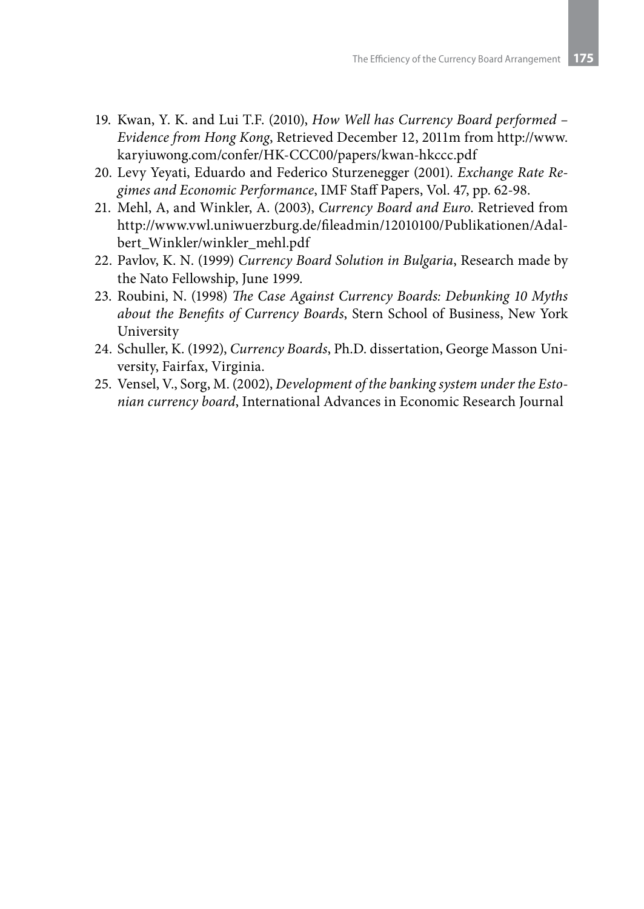- 19. Kwan, Y. K. and Lui T.F. (2010), *How Well has Currency Board performed Evidence from Hong Kong*, Retrieved December 12, 2011m from http://www. karyiuwong.com/confer/HK-CCC00/papers/kwan-hkccc.pdf
- 20. Levy Yeyati, Eduardo and Federico Sturzenegger (2001). *Exchange Rate Regimes and Economic Performance*, IMF Staff Papers, Vol. 47, pp. 62-98.
- 21. Mehl, A, and Winkler, A. (2003), *Currency Board and Euro*. Retrieved from http://www.vwl.uniwuerzburg.de/fileadmin/12010100/Publikationen/Adalbert\_Winkler/winkler\_mehl.pdf
- 22. Pavlov, K. N. (1999) *Currency Board Solution in Bulgaria*, Research made by the Nato Fellowship, June 1999.
- 23. Roubini, N. (1998) *The Case Against Currency Boards: Debunking 10 Myths about the Benefits of Currency Boards*, Stern School of Business, New York University
- 24. Schuller, K. (1992), *Currency Boards*, Ph.D. dissertation, George Masson University, Fairfax, Virginia.
- 25. Vensel, V., Sorg, M. (2002), *Development of the banking system under the Estonian currency board*, International Advances in Economic Research Journal